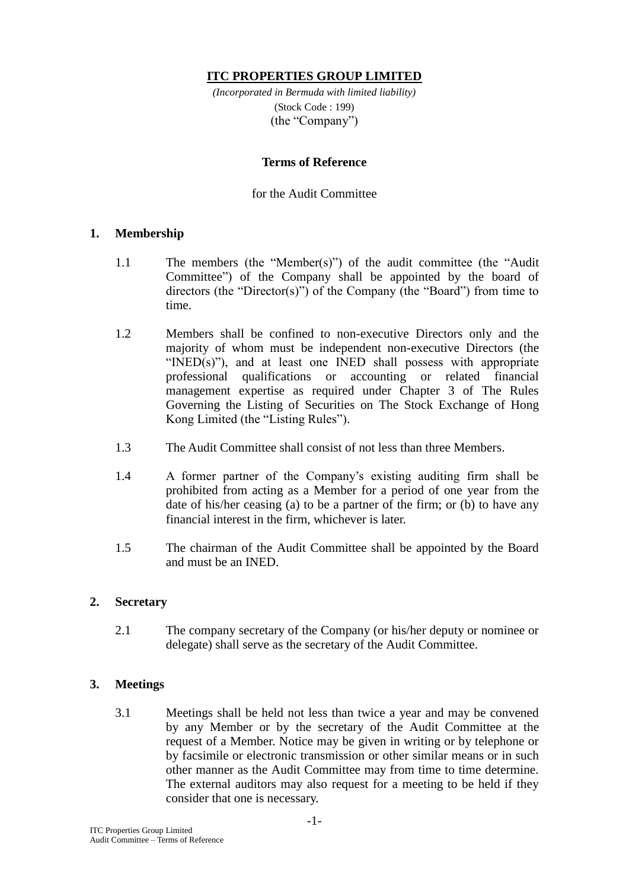# **ITC PROPERTIES GROUP LIMITED**

*(Incorporated in Bermuda with limited liability)* (Stock Code : 199) (the "Company")

### **Terms of Reference**

### for the Audit Committee

#### **1. Membership**

- 1.1 The members (the "Member(s)") of the audit committee (the "Audit Committee") of the Company shall be appointed by the board of directors (the "Director(s)") of the Company (the "Board") from time to time.
- 1.2 Members shall be confined to non-executive Directors only and the majority of whom must be independent non-executive Directors (the "INED(s)"), and at least one INED shall possess with appropriate professional qualifications or accounting or related financial management expertise as required under Chapter 3 of The Rules Governing the Listing of Securities on The Stock Exchange of Hong Kong Limited (the "Listing Rules").
- 1.3 The Audit Committee shall consist of not less than three Members.
- 1.4 A former partner of the Company's existing auditing firm shall be prohibited from acting as a Member for a period of one year from the date of his/her ceasing (a) to be a partner of the firm; or (b) to have any financial interest in the firm, whichever is later.
- 1.5 The chairman of the Audit Committee shall be appointed by the Board and must be an INED.

### **2. Secretary**

2.1 The company secretary of the Company (or his/her deputy or nominee or delegate) shall serve as the secretary of the Audit Committee.

### **3. Meetings**

3.1 Meetings shall be held not less than twice a year and may be convened by any Member or by the secretary of the Audit Committee at the request of a Member. Notice may be given in writing or by telephone or by facsimile or electronic transmission or other similar means or in such other manner as the Audit Committee may from time to time determine. The external auditors may also request for a meeting to be held if they consider that one is necessary.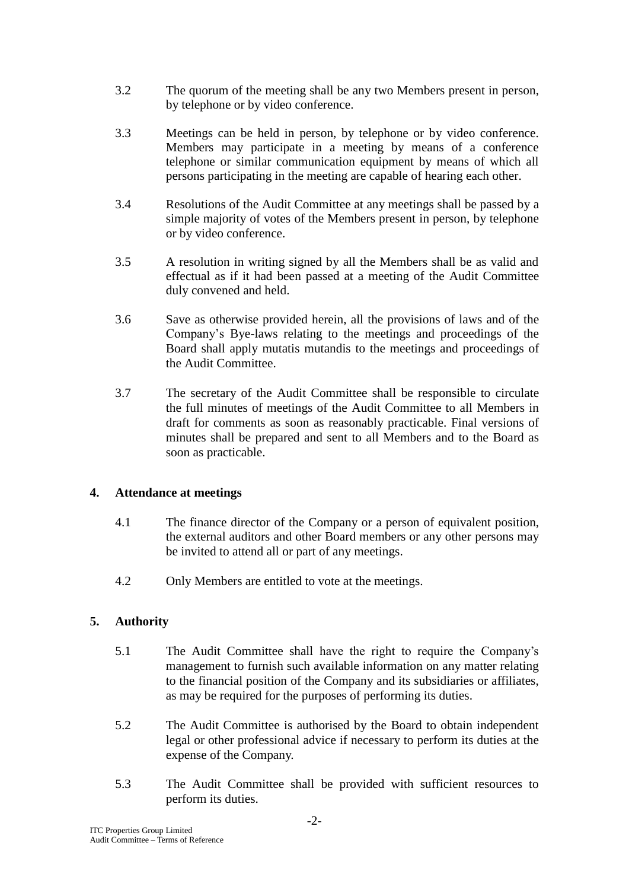- 3.2 The quorum of the meeting shall be any two Members present in person, by telephone or by video conference.
- 3.3 Meetings can be held in person, by telephone or by video conference. Members may participate in a meeting by means of a conference telephone or similar communication equipment by means of which all persons participating in the meeting are capable of hearing each other.
- 3.4 Resolutions of the Audit Committee at any meetings shall be passed by a simple majority of votes of the Members present in person, by telephone or by video conference.
- 3.5 A resolution in writing signed by all the Members shall be as valid and effectual as if it had been passed at a meeting of the Audit Committee duly convened and held.
- 3.6 Save as otherwise provided herein, all the provisions of laws and of the Company's Bye-laws relating to the meetings and proceedings of the Board shall apply mutatis mutandis to the meetings and proceedings of the Audit Committee.
- 3.7 The secretary of the Audit Committee shall be responsible to circulate the full minutes of meetings of the Audit Committee to all Members in draft for comments as soon as reasonably practicable. Final versions of minutes shall be prepared and sent to all Members and to the Board as soon as practicable.

### **4. Attendance at meetings**

- 4.1 The finance director of the Company or a person of equivalent position, the external auditors and other Board members or any other persons may be invited to attend all or part of any meetings.
- 4.2 Only Members are entitled to vote at the meetings.

# **5. Authority**

- 5.1 The Audit Committee shall have the right to require the Company's management to furnish such available information on any matter relating to the financial position of the Company and its subsidiaries or affiliates, as may be required for the purposes of performing its duties.
- 5.2 The Audit Committee is authorised by the Board to obtain independent legal or other professional advice if necessary to perform its duties at the expense of the Company.
- 5.3 The Audit Committee shall be provided with sufficient resources to perform its duties.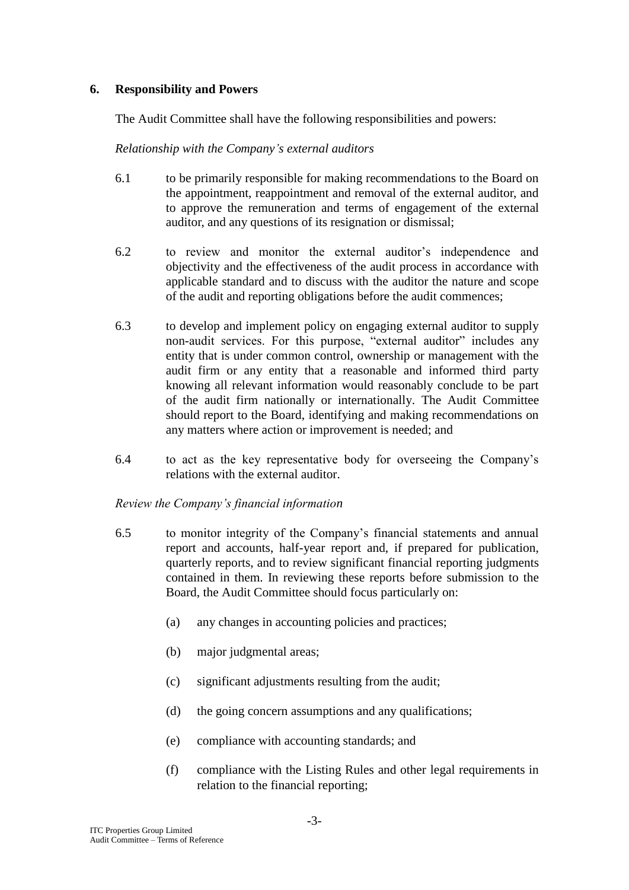### **6. Responsibility and Powers**

The Audit Committee shall have the following responsibilities and powers:

*Relationship with the Company's external auditors* 

- 6.1 to be primarily responsible for making recommendations to the Board on the appointment, reappointment and removal of the external auditor, and to approve the remuneration and terms of engagement of the external auditor, and any questions of its resignation or dismissal;
- 6.2 to review and monitor the external auditor's independence and objectivity and the effectiveness of the audit process in accordance with applicable standard and to discuss with the auditor the nature and scope of the audit and reporting obligations before the audit commences;
- 6.3 to develop and implement policy on engaging external auditor to supply non-audit services. For this purpose, "external auditor" includes any entity that is under common control, ownership or management with the audit firm or any entity that a reasonable and informed third party knowing all relevant information would reasonably conclude to be part of the audit firm nationally or internationally. The Audit Committee should report to the Board, identifying and making recommendations on any matters where action or improvement is needed; and
- 6.4 to act as the key representative body for overseeing the Company's relations with the external auditor.

*Review the Company's financial information*

- 6.5 to monitor integrity of the Company's financial statements and annual report and accounts, half-year report and, if prepared for publication, quarterly reports, and to review significant financial reporting judgments contained in them. In reviewing these reports before submission to the Board, the Audit Committee should focus particularly on:
	- (a) any changes in accounting policies and practices;
	- (b) major judgmental areas;
	- (c) significant adjustments resulting from the audit;
	- (d) the going concern assumptions and any qualifications;
	- (e) compliance with accounting standards; and
	- (f) compliance with the Listing Rules and other legal requirements in relation to the financial reporting;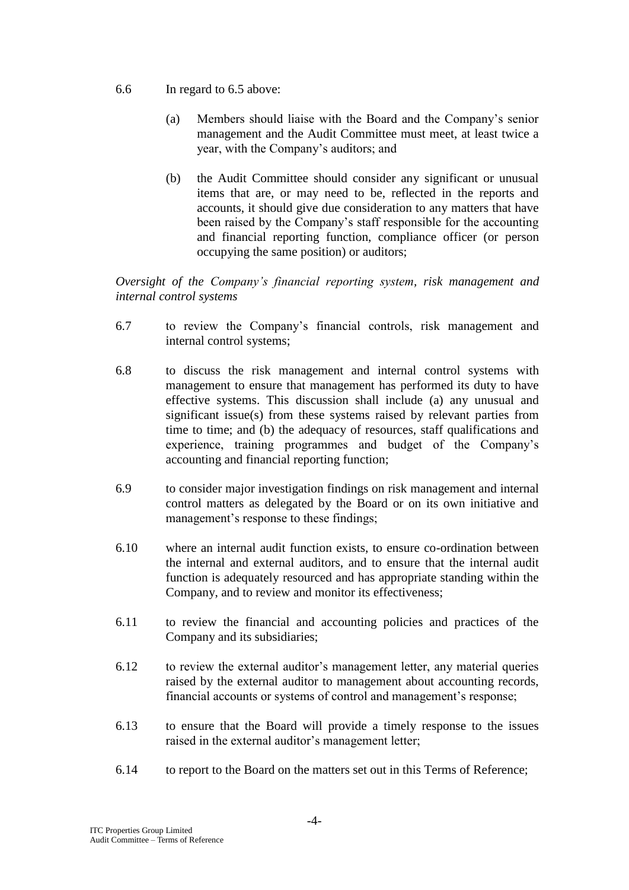- 6.6 In regard to 6.5 above:
	- (a) Members should liaise with the Board and the Company's senior management and the Audit Committee must meet, at least twice a year, with the Company's auditors; and
	- (b) the Audit Committee should consider any significant or unusual items that are, or may need to be, reflected in the reports and accounts, it should give due consideration to any matters that have been raised by the Company's staff responsible for the accounting and financial reporting function, compliance officer (or person occupying the same position) or auditors;

*Oversight of the Company's financial reporting system, risk management and internal control systems*

- 6.7 to review the Company's financial controls, risk management and internal control systems;
- 6.8 to discuss the risk management and internal control systems with management to ensure that management has performed its duty to have effective systems. This discussion shall include (a) any unusual and significant issue(s) from these systems raised by relevant parties from time to time; and (b) the adequacy of resources, staff qualifications and experience, training programmes and budget of the Company's accounting and financial reporting function;
- 6.9 to consider major investigation findings on risk management and internal control matters as delegated by the Board or on its own initiative and management's response to these findings;
- 6.10 where an internal audit function exists, to ensure co-ordination between the internal and external auditors, and to ensure that the internal audit function is adequately resourced and has appropriate standing within the Company, and to review and monitor its effectiveness;
- 6.11 to review the financial and accounting policies and practices of the Company and its subsidiaries;
- 6.12 to review the external auditor's management letter, any material queries raised by the external auditor to management about accounting records, financial accounts or systems of control and management's response;
- 6.13 to ensure that the Board will provide a timely response to the issues raised in the external auditor's management letter;
- 6.14 to report to the Board on the matters set out in this Terms of Reference;